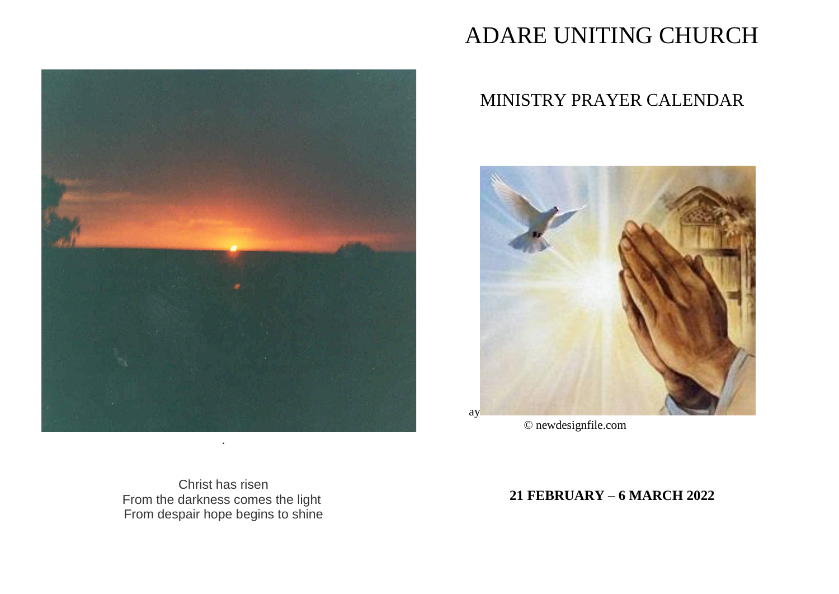

# ADARE UNITING CHURCH

# MINISTRY PRAYER CALENDAR



© newdesignfile.com

Christ has risen From the darkness comes the light From despair hope begins to shine

**21 FEBRUARY - 6 MARCH 2022**